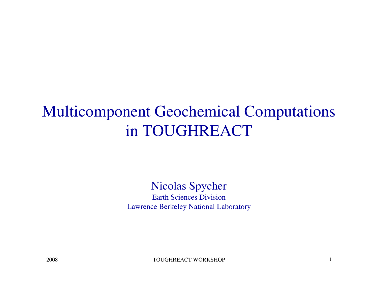# Multicomponent Geochemical Computationsin TOUGHREACT

#### Nicolas Spycher Earth Sciences DivisionLawrence Berkeley National Laboratory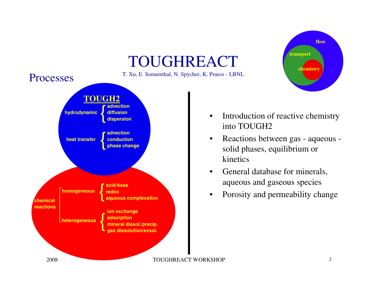



- • Introduction of reactive chemistry into TOUGH2
- $\bullet$  Reactions between gas - aqueous solid phases, equilibrium or kinetics
- • General database for minerals, aqueous and gaseous species
- •Porosity and permeability change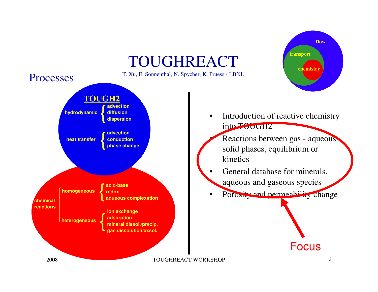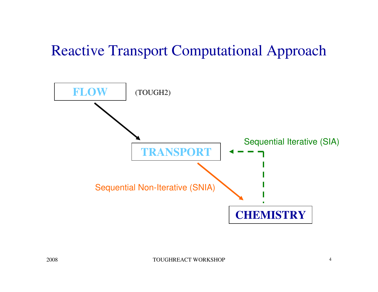#### Reactive Transport Computational Approach

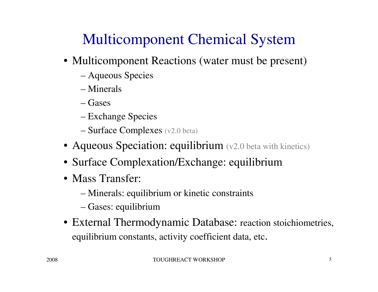# Multicomponent Chemical System

- Multicomponent Reactions (water must be present)
	- Aqueous Species
	- Minerals
	- Gases
	- Exchange Species
	- Surface Complexes (v2.0 beta)
- Aqueous Speciation: equilibrium (v2.0 beta with kinetics)
- Surface Complexation/Exchange: equilibrium
- Mass Transfer:
	- Minerals: equilibrium or kinetic constraints
	- Gases: equilibrium
- External Thermodynamic Database: reaction stoichiometries, equilibrium constants, activity coefficient data, etc.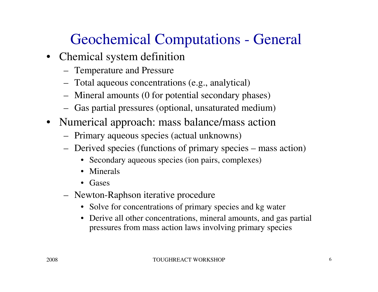### Geochemical Computations - General

- Chemical system definition
	- Temperature and Pressure
	- Total aqueous concentrations (e.g., analytical)
	- Mineral amounts (0 for potential secondary phases)
	- Gas partial pressures (optional, unsaturated medium)
- Numerical approach: mass balance/mass action
	- Primary aqueous species (actual unknowns)
	- Derived species (functions of primary species mass action)
		- Secondary aqueous species (ion pairs, complexes)
		- Minerals
		- Gases
	- Newton-Raphson iterative procedure
		- Solve for concentrations of primary species and kg water
		- Derive all other concentrations, mineral amounts, and gas partial pressures from mass action laws involving primary species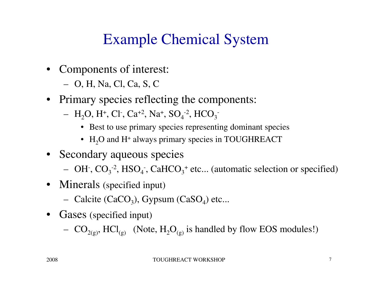#### Example Chemical System

- Components of interest:
	- O, H, Na, Cl, Ca, S, C
- Primary species reflecting the components:
	- $H_2O$ , H<sup>+</sup>, Cl<sup>-</sup>, Ca<sup>+2</sup>, Na<sup>+</sup>, SO<sub>4</sub><sup>-2</sup>, HCO<sub>3</sub><sup>-</sup>
		- Best to use primary species representing dominant species
		- $H_2O$  and H<sup>+</sup> always primary species in TOUGHREACT
- Secondary aqueous species
	- OH<sup>-</sup>,  $CO_3^{-2}$ , HSO<sub>4</sub><sup>-</sup>, CaHCO<sub>3</sub><sup>+</sup> etc... (automatic selection or specified)
- Minerals (specified input)
	- Calcite (CaCO<sub>3</sub>), Gypsum (CaSO<sub>4</sub>) etc...
- Gases (specified input)
	- $CO<sub>2(g)</sub>$ , HCl<sub>(g)</sub> (Note, H<sub>2</sub>O<sub>(g)</sub> is handled by flow EOS modules!)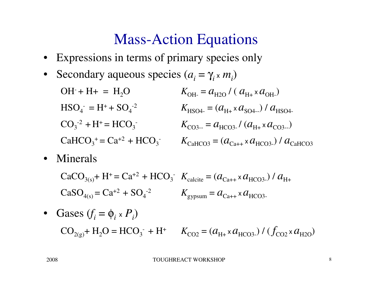#### Mass-Action Equations

- •Expressions in terms of primary species only
- •Secondary aqueous species  $(a_i = \gamma_i \times m_i)$ 
	- $OH$  + H+ = H<sub>2</sub>O  $K_{\text{OH}} = a_{\text{H2O}} / (a_{\text{H+}} \times a_{\text{OH}})$  $HSO_4^- = H^+ + SO_4^{-2}$  $K_{\text{HSO4-}} = (a_{\text{H+}} \times a_{\text{SO4-}}) / a_{\text{HSO4-}}$  $CO_3^{-2} + H^+ = HCO_3^{-1}$  $K_{\text{CO3--}}=a_{\text{HCO3-}}/(a_{\text{H+}} \times a_{\text{CO3--}})$  $CaHCO<sub>3</sub><sup>+</sup> = Ca<sup>+2</sup> + HCO<sub>3</sub><sup>-</sup>$   $K<sub>CaHCO3</sub> = (a<sub>Ca++</sub> × a<sub>HCO3</sub>) / a<sub>CaHCO3</sub>$
- Minerals

$$
CaCO_{3(s)} + H^+ = Ca^{+2} + HCO_3^- \quad K_{\text{calcite}} = (a_{\text{Ca++}} \times a_{\text{HCO3-}}) / a_{\text{H+}}
$$

$$
CaSO_{4(s)} = Ca^{+2} + SO_4^{-2} \qquad K_{\text{gypsum}} = a_{\text{Ca++}} \times a_{\text{HCO3-}}
$$

• Gases  $(f_i = \phi_i \times P_i)$  $CO_{2(g)}$ + H<sub>2</sub>O = HCO<sub>3</sub><sup>-</sup> + H<sup>+</sup>  $K_{CO2} = (a_{H+} \times a_{HCO3}) / (f_{CO2} \times a_{H2O})$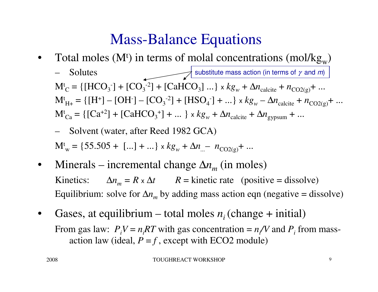#### Mass-Balance Equations

- $\bullet$ Total moles ( $M<sup>t</sup>$ ) in terms of molal concentrations (mol/kg<sub>w</sub>)
	- Solutes $M_C^t = \{[HCO_3^-] + [CO_3^{-2}] + [CaHCO_3] ... \} \times kg_w + \Delta n_{\text{calcite}} + n_{CO2(g)} + ...$  $M_{H+}^t = \{ [H^+] - [OH^-] - [CO_3^{-2}] + [HSO_4^-] + ... \} \times kg_w - \Delta n_{\text{calcite}} + n_{CO2(g)} + ...$  $M_{Ca}^t = \{ [Ca^{+2}] + [CaHCO_3^+] + ... \} \times kg_w + \Delta n_{calcite} + \Delta n_{gypsum} + ...$ substitute mass action (in terms of  $\gamma$  and  $m$ )

- Solvent (water, after Reed 1982 GCA)  
\n
$$
M^{t}_{w} = \{55.505 + [...] + ...\} \times kg_{w} + \Delta n_{w} - n_{CO2(g)} + ...
$$

- $\bullet$ Minerals – incremental change  $\Delta n_m$  (in moles) Kinetics: $\therefore$   $\Delta n_m = R \times \Delta t$   $R =$  kinetic rate (positive = dissolve) Equilibrium: solve for ∆*<sup>n</sup><sup>m</sup>* by adding mass action eqn (negative = dissolve)
- $\bullet$ Gases, at equilibrium – total moles  $n_i$  (change + initial) From gas law:  $P_iV = n_iRT$  with gas concentration =  $n_fV$  and  $P_i$  from massaction law (ideal, *P* <sup>=</sup>*<sup>f</sup>* , except with ECO2 module)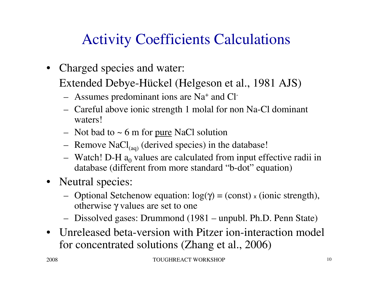#### Activity Coefficients Calculations

• Charged species and water:

Extended Debye-Hückel (Helgeson et al., 1981 AJS)

- Assumes predominant ions are Na<sup>+</sup> and Cl-
- Careful above ionic strength 1 molal for non Na-Cl dominant waters!
- Not bad to  $\sim$  6 m for <u>pure</u> NaCl solution
- Remove  $\text{NaCl}_{(aq)}$  (derived species) in the database!
- Watch! D-H  $a_0$  values are calculated from input effective radii in database (different from more standard "b-dot" equation)
- Neutral species:
	- Optional Setchenow equation:  $log(γ) = (const) \times (ionic strength)$ , otherwise  $\gamma$  values are set to one
	- Dissolved gases: Drummond (1981 unpubl. Ph.D. Penn State)
- Unreleased beta-version with Pitzer ion-interaction model for concentrated solutions (Zhang et al., 2006)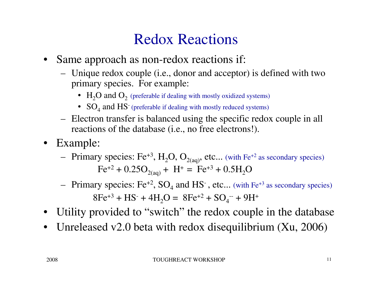#### Redox Reactions

- Same approach as non-redox reactions if:
	- Unique redox couple (i.e., donor and acceptor) is defined with two primary species. For example:
		- $\rm{H}_{2}O$  and  $\rm{O}_{2}$  (preferable if dealing with mostly oxidized systems)
		- $SO_4$  and  $HS$  (preferable if dealing with mostly reduced systems)
	- Electron transfer is balanced using the specific redox couple in all reactions of the database (i.e., no free electrons!).
- Example:
	- Primary species: Fe<sup>+3</sup>, H<sub>2</sub>O, O<sub>2(aq)</sub>, etc... (with Fe<sup>+2</sup> as secondary species)  $Fe^{+2} + 0.25O_{2(aq)} + H^{+} = Fe^{+3} + 0.5H_2O$
	- Primary species:  $Fe^{+2}$ ,  $SO_4$  and  $HS^-$ , etc... (with  $Fe^{+3}$  as secondary species)  $8Fe^{+3} + HS^{-} + 4H_2O = 8Fe^{+2} + SO_4^{-} + 9H^{+}$
- Utility provided to "switch" the redox couple in the database
- $\bullet$ Unreleased v2.0 beta with redox disequilibrium (Xu, 2006)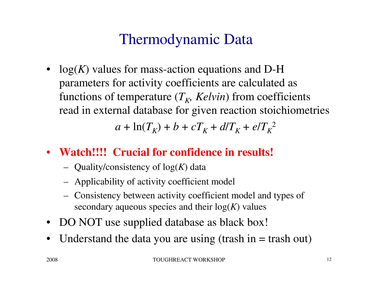#### Thermodynamic Data

• log(*K*) values for mass-action equations and D-H parameters for activity coefficients are calculated as functions of temperature  $(T_K, Kelvin)$  from coefficients read in external database for given reaction stoichiometries

 $a + \ln(T_K) + b + cT_K + d/T_K + e/T_K^2$ 

#### • **Watch!!!! Crucial for confidence in results!**

- Quality/consistency of log(*K*) data
- Applicability of activity coefficient model
- Consistency between activity coefficient model and types of secondary aqueous species and their  $log(K)$  values
- DO NOT use supplied database as black box!
- $\bullet$ Understand the data you are using (trash in  $=$  trash out)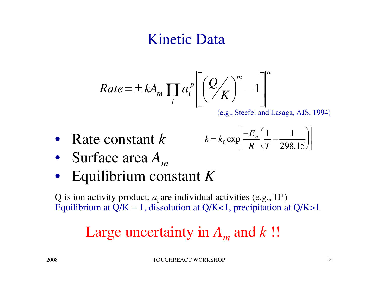#### Kinetic Data

$$
Rate = \pm kA_m \prod_i a_i^p \left[ \left( \frac{Q}{K} \right)^m - 1 \right]^n
$$

(e.g., Steefel and Lasaga, AJS, 1994)

• Rate constant *<sup>k</sup>*

$$
k = k_0 \exp\left[\frac{-E_a}{R} \left(\frac{1}{T} - \frac{1}{298.15}\right)\right]
$$

- Surface area *A<sup>m</sup>*
- Equilibrium constant *<sup>K</sup>*

Q is ion activity product,  $a_i$  are individual activities (e.g.,  $H^+$ ) Equilibrium at  $Q/K = 1$ , dissolution at  $Q/K < 1$ , precipitation at  $Q/K > 1$ 

# Large uncertainty in *Am* and *k* !!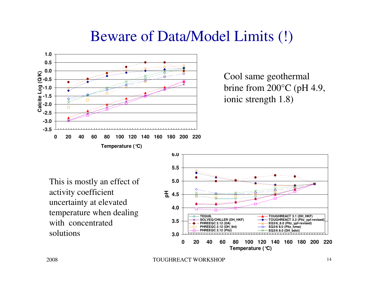#### Beware of Data/Model Limits (!)



Cool same geothermal brine from 200°C (pH 4.9, ionic strength 1.8)

This is mostly an effect of activity coefficient uncertainty at elevated temperature when dealing with concentrated solutions**5 3.0** 



TOUGHREACT WORKSHOP